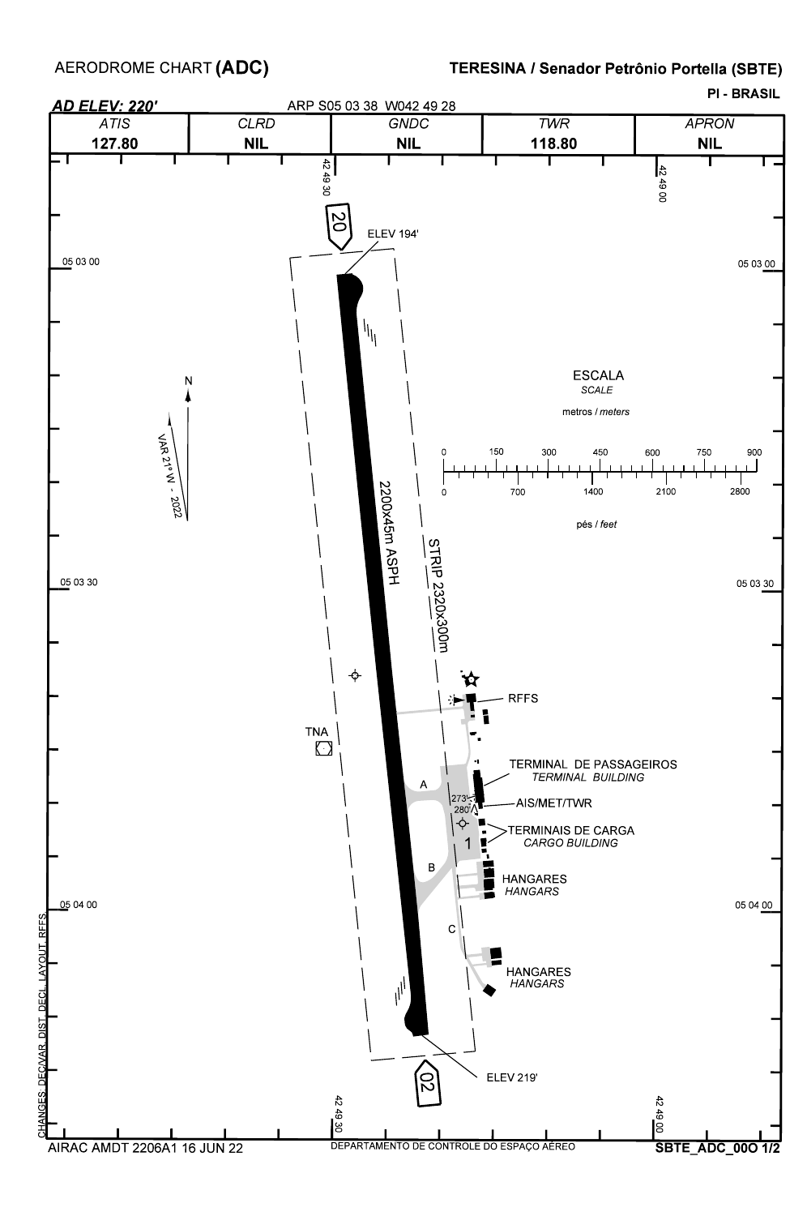AERODROME CHART **(ADC)**